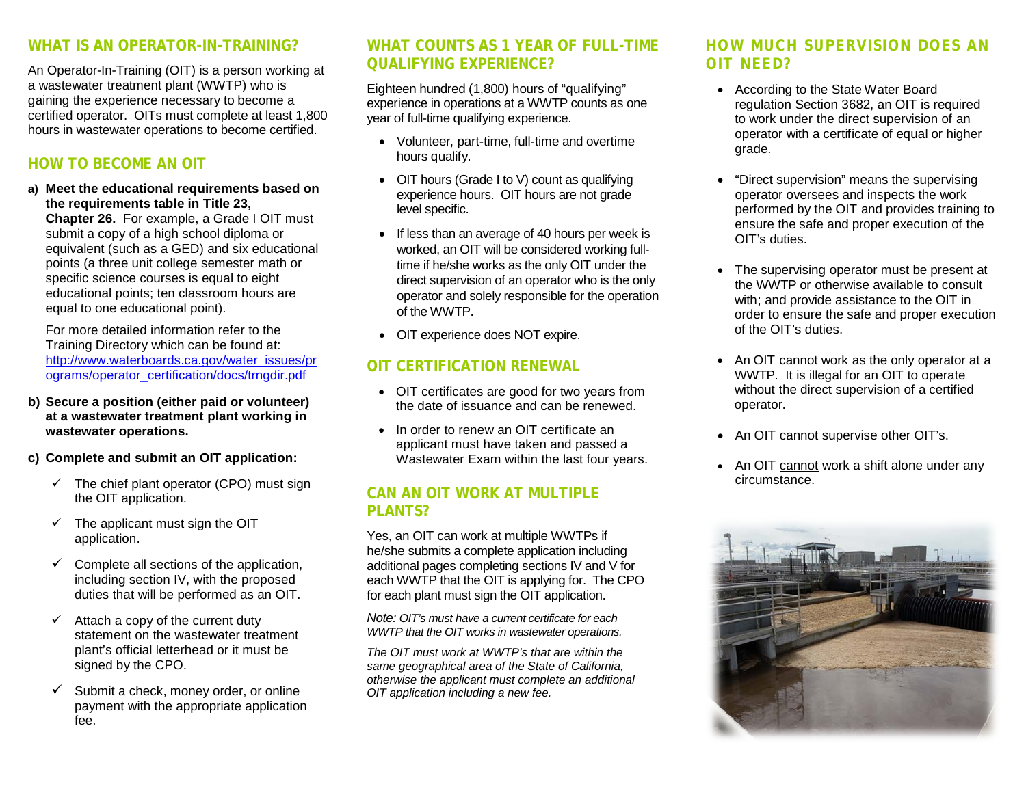#### **WHAT IS AN OPERATOR-IN-TRAINING?**

An Operator-In-Training (OIT) is a person working at a wastewater treatment plant (WWTP) who is gaining the experience necessary to become a certified operator. OITs must complete at least 1,800 hours in wastewater operations to become certified.

## **HOW TO BECOME AN OIT**

**a) Meet the educational requirements based on the requirements table in Title 23, Chapter 26.** For example, a Grade I OIT must submit a copy of a high school diploma or

equivalent (such as a GED) and six educational points (a three unit college semester math or specific science courses is equal to eight educational points; ten classroom hours are equal to one educational point).

For more detailed information refer to the Training Directory which can be found at: [http://www.waterboards.ca.gov/water\\_issues/pr](http://www.waterboards.ca.gov/water_issues/programs/operator_certification/docs/trngdir.pdf) [ograms/operator\\_certification/docs/trngdir.pdf](http://www.waterboards.ca.gov/water_issues/programs/operator_certification/docs/trngdir.pdf)

- **b) Secure a position (either paid or volunteer) at a wastewater treatment plant working in wastewater operations.**
- **c) Complete and submit an OIT application:**
	- $\checkmark$  The chief plant operator (CPO) must sign the OIT application.
	- $\checkmark$  The applicant must sign the OIT application.
	- $\checkmark$  Complete all sections of the application, including section IV, with the proposed duties that will be performed as an OIT.
	- $\checkmark$  Attach a copy of the current duty statement on the wastewater treatment plant's official letterhead or it must be signed by the CPO.
	- $\checkmark$  Submit a check, money order, or online payment with the appropriate application fee.

#### **WHAT COUNTS AS 1 YEAR OF FULL-TIME QUALIFYING EXPERIENCE?**

Eighteen hundred (1,800) hours of "qualifying" experience in operations at a WWTP counts as one year of full-time qualifying experience.

- Volunteer, part-time, full-time and overtime hours qualify.
- OIT hours (Grade I to V) count as qualifying experience hours. OIT hours are not grade level specific.
- If less than an average of 40 hours per week is worked, an OIT will be considered working fulltime if he/she works as the only OIT under the direct supervision of an operator who is the only operator and solely responsible for the operation of the WWTP.
- OIT experience does NOT expire.

### **OIT CERTIFICATION RENEWAL**

- OIT certificates are good for two years from the date of issuance and can be renewed.
- In order to renew an OIT certificate an applicant must have taken and passed a Wastewater Exam within the last four years.

#### **CAN AN OIT WORK AT MULTIPLE PLANTS?**

Yes, an OIT can work at multiple WWTPs if he/she submits a complete application including additional pages completing sections IV and V for each WWTP that the OIT is applying for. The CPO for each plant must sign the OIT application.

*Note: OIT's must have a current certificate for each WWTP that the OIT works in wastewater operations.*

*The OIT must work at WWTP's that are within the same geographical area of the State of California, otherwise the applicant must complete an additional OIT application including a new fee.*

#### **HOW MUCH SUPERVISION DOES AN OIT NEED?**

- According to the State Water Board regulation Section 3682, an OIT is required to work under the direct supervision of an operator with a certificate of equal or higher grade.
- "Direct supervision" means the supervising operator oversees and inspects the work performed by the OIT and provides training to ensure the safe and proper execution of the OIT's duties.
- The supervising operator must be present at the WWTP or otherwise available to consult with; and provide assistance to the OIT in order to ensure the safe and proper execution of the OIT's duties.
- An OIT cannot work as the only operator at a WWTP. It is illegal for an OIT to operate without the direct supervision of a certified operator.
- An OIT cannot supervise other OIT's.
- An OIT cannot work a shift alone under any circumstance.